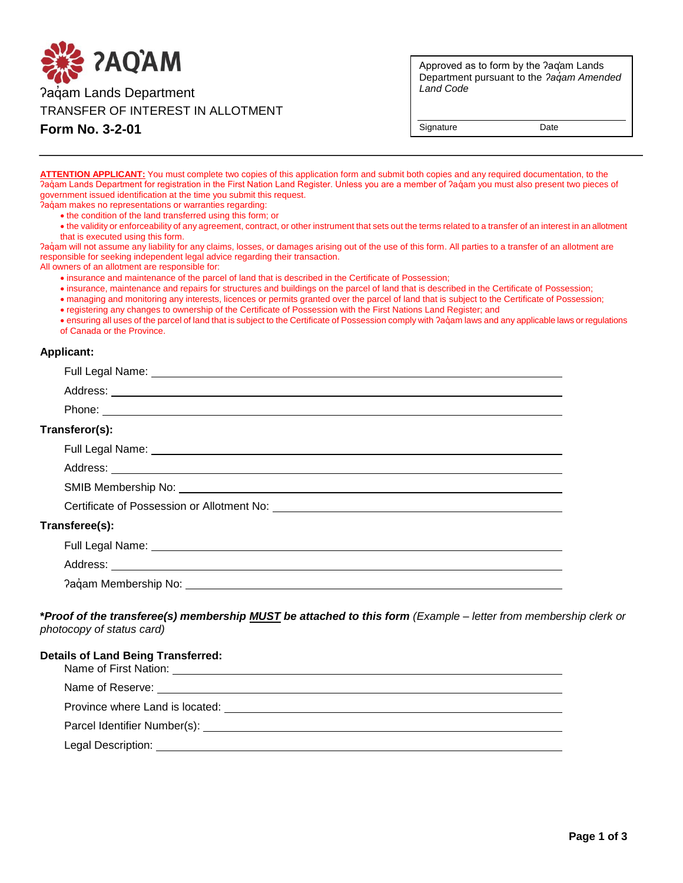

**Form No. 3-2-01**

Approved as to form by the ʔaq̓am Lands Department pursuant to the *ʔaq̓am Amended Land Code*

Signature Date

**ATTENTION APPLICANT:** You must complete two copies of this application form and submit both copies and any required documentation, to the Paqum Lands Department for registration in the First Nation Land Register. Unless you are a member of Paqum you must also present two pieces of government issued identification at the time you submit this request.

- Paqam makes no representations or warranties regarding:
	- the condition of the land transferred using this form; or
	- the validity or enforceability of any agreement, contract, or other instrument that sets out the terms related to a transfer of an interest in an allotment that is executed using this form.

Paqam will not assume any liability for any claims, losses, or damages arising out of the use of this form. All parties to a transfer of an allotment are responsible for seeking independent legal advice regarding their transaction.

All owners of an allotment are responsible for:

- insurance and maintenance of the parcel of land that is described in the Certificate of Possession;
- insurance, maintenance and repairs for structures and buildings on the parcel of land that is described in the Certificate of Possession;
- managing and monitoring any interests, licences or permits granted over the parcel of land that is subject to the Certificate of Possession;
- registering any changes to ownership of the Certificate of Possession with the First Nations Land Register; and

• ensuring all uses of the parcel of land that is subject to the Certificate of Possession comply with  $\alpha$  and any applicable laws or regulations of Canada or the Province.

## **Applicant:**

| Transferor(s):                                                                                                                                                                                                                      |
|-------------------------------------------------------------------------------------------------------------------------------------------------------------------------------------------------------------------------------------|
|                                                                                                                                                                                                                                     |
|                                                                                                                                                                                                                                     |
|                                                                                                                                                                                                                                     |
| Certificate of Possession or Allotment No: \\connection\\connection\\connection\\connection\\connection\\connection\\connection\\connection\\connection\\connection\\connection\\connection\\connection\\connection\\connectio      |
| Transferee(s):                                                                                                                                                                                                                      |
| Full Legal Name: <u>Name:</u> Name: Name of the Second Contract of the Second Contract of the Second Contract of the Second Contract of the Second Contract of the Second Contract of the Second Contract of the Second Contract of |
|                                                                                                                                                                                                                                     |
|                                                                                                                                                                                                                                     |
|                                                                                                                                                                                                                                     |

**\****Proof of the transferee(s) membership MUST be attached to this form (Example – letter from membership clerk or photocopy of status card)*

| <b>Details of Land Being Transferred:</b> |  |
|-------------------------------------------|--|
| Name of First Nation:                     |  |

| Name of Reserve:                |
|---------------------------------|
| Province where Land is located: |
| Parcel Identifier Number(s):    |

Legal Description: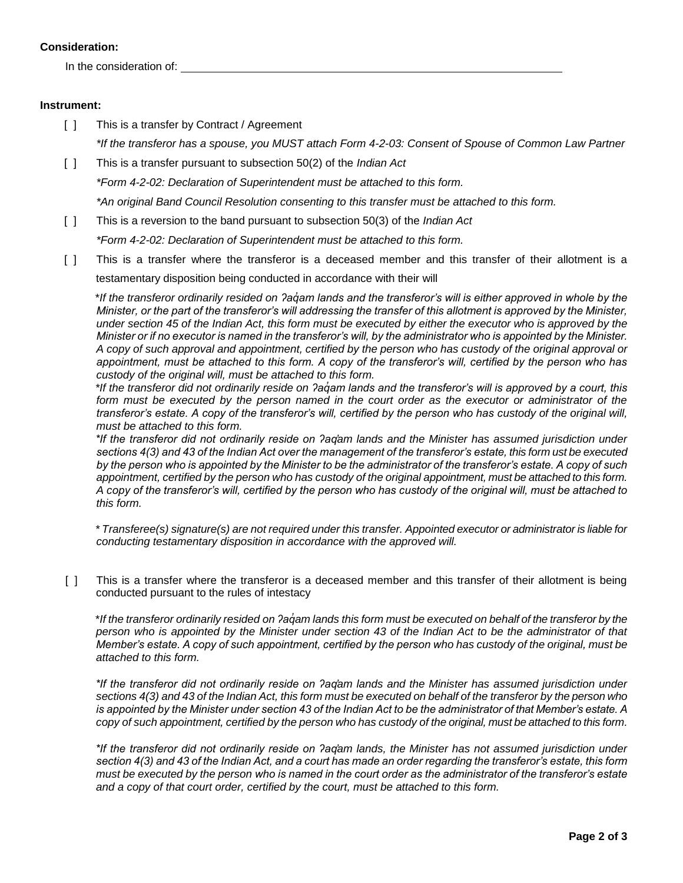## **Consideration:**

In the consideration of:

## **Instrument:**

- [ ] This is a transfer by Contract / Agreement *\*If the transferor has a spouse, you MUST attach Form 4-2-03: Consent of Spouse of Common Law Partner*
- [ ] This is a transfer pursuant to subsection 50(2) of the *Indian Act*

*\*Form 4-2-02: Declaration of Superintendent must be attached to this form.*

*\*An original Band Council Resolution consenting to this transfer must be attached to this form.*

[ ] This is a reversion to the band pursuant to subsection 50(3) of the *Indian Act*

*\*Form 4-2-02: Declaration of Superintendent must be attached to this form.*

[ ] This is a transfer where the transferor is a deceased member and this transfer of their allotment is a testamentary disposition being conducted in accordance with their will

\**If the transferor ordinarily resided on ʔaq̓am lands and the transferor's will is either approved in whole by the Minister, or the part of the transferor's will addressing the transfer of this allotment is approved by the Minister, under section 45 of the Indian Act, this form must be executed by either the executor who is approved by the Minister or if no executor is named in the transferor's will, by the administrator who is appointed by the Minister. A copy of such approval and appointment, certified by the person who has custody of the original approval or appointment, must be attached to this form. A copy of the transferor's will, certified by the person who has custody of the original will, must be attached to this form.*

*\*If the transferor did not ordinarily reside on ʔaq̓am lands and the transferor's will is approved by a court, this form must be executed by the person named in the court order as the executor or administrator of the transferor's estate. A copy of the transferor's will, certified by the person who has custody of the original will, must be attached to this form.*

*\*If the transferor did not ordinarily reside on ʔaq̓am lands and the Minister has assumed jurisdiction under sections 4(3) and 43 of the Indian Act over the management of the transferor's estate, this form ust be executed by the person who is appointed by the Minister to be the administrator of the transferor's estate. A copy of such appointment, certified by the person who has custody of the original appointment, must be attached to this form. A copy of the transferor's will, certified by the person who has custody of the original will, must be attached to this form.*

*\* Transferee(s) signature(s) are not required under this transfer. Appointed executor or administrator is liable for conducting testamentary disposition in accordance with the approved will.*

[ ] This is a transfer where the transferor is a deceased member and this transfer of their allotment is being conducted pursuant to the rules of intestacy

\**If the transferor ordinarily resided on ʔaq̓am lands this form must be executed on behalf of the transferor by the person who is appointed by the Minister under section 43 of the Indian Act to be the administrator of that Member's estate. A copy of such appointment, certified by the person who has custody of the original, must be attached to this form.*

*\*If the transferor did not ordinarily reside on ʔaq̓am lands and the Minister has assumed jurisdiction under sections 4(3) and 43 of the Indian Act, this form must be executed on behalf of the transferor by the person who is appointed by the Minister under section 43 of the Indian Act to be the administrator of that Member's estate. A copy of such appointment, certified by the person who has custody of the original, must be attached to this form.*

*\*If the transferor did not ordinarily reside on ʔaq̓am lands, the Minister has not assumed jurisdiction under section 4(3) and 43 of the Indian Act, and a court has made an order regarding the transferor's estate, this form must be executed by the person who is named in the court order as the administrator of the transferor's estate and a copy of that court order, certified by the court, must be attached to this form.*